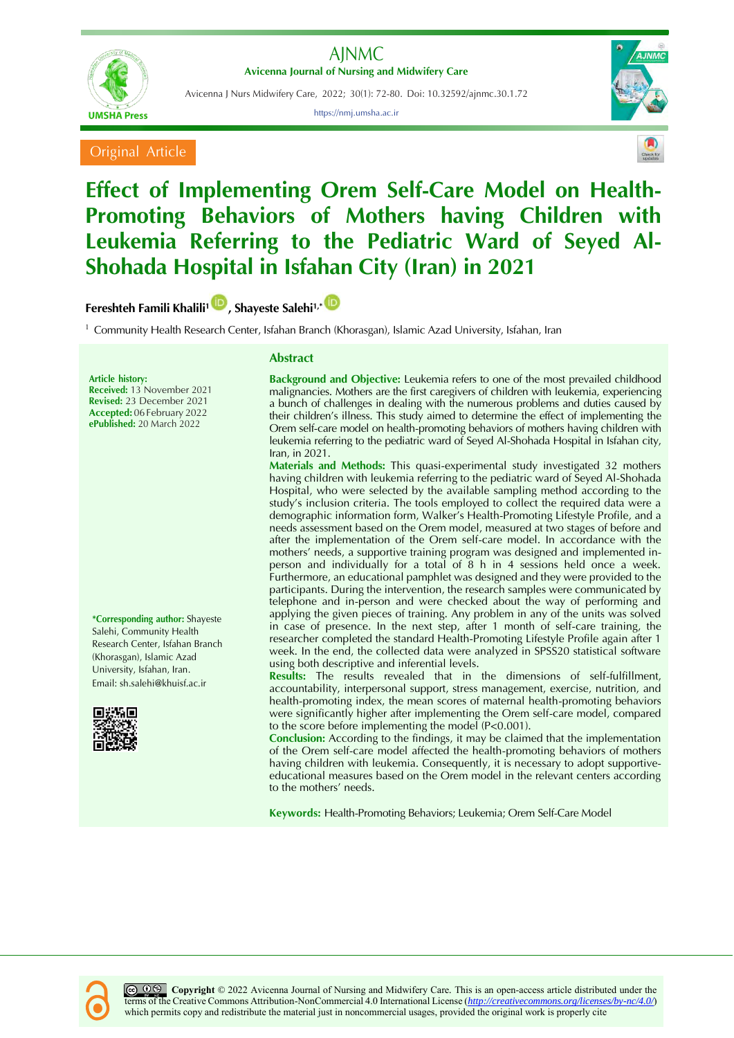

Avicenna J Nurs Midwifery Care, 2022; 30(1): 72-80. Doi: 10.32592/ajnmc.30.1.72

https://nmj.umsha.ac.ir







# **Effect of Implementing Orem Self-Care Model on Health-Promoting Behaviors of Mothers having Children with Leukemia Referring to the Pediatric Ward of Seyed Al-Shohada Hospital in Isfahan City (Iran) in 2021**

**Fereshteh Famili Khalili[1](https://orcid.org/0000-0002-3965-7590) , Shayeste Salehi1,\***

<sup>1</sup> Community Health Research Center, Isfahan Branch (Khorasgan), Islamic Azad University, Isfahan, Iran

# **Article history:**

**Received:** 13 November 2021 **Revised:** 23 December 2021 **Accepted:** 06February 2022 **ePublished:** 20 March 2022

**\*Corresponding author:** Shayeste Salehi, Community Health Research Center, Isfahan Branch (Khorasgan), Islamic Azad University, Isfahan, Iran. Email: sh.salehi@khuisf.ac.ir



#### **Abstract**

**Background and Objective:** Leukemia refers to one of the most prevailed childhood malignancies. Mothers are the first caregivers of children with leukemia, experiencing a bunch of challenges in dealing with the numerous problems and duties caused by their children's illness. This study aimed to determine the effect of implementing the Orem self-care model on health-promoting behaviors of mothers having children with leukemia referring to the pediatric ward of Seyed Al-Shohada Hospital in Isfahan city, Iran, in 2021.

**Materials and Methods:** This quasi-experimental study investigated 32 mothers having children with leukemia referring to the pediatric ward of Seyed Al-Shohada Hospital, who were selected by the available sampling method according to the study's inclusion criteria. The tools employed to collect the required data were a demographic information form, Walker's Health-Promoting Lifestyle Profile, and a needs assessment based on the Orem model, measured at two stages of before and after the implementation of the Orem self-care model. In accordance with the mothers' needs, a supportive training program was designed and implemented inperson and individually for a total of 8 h in 4 sessions held once a week. Furthermore, an educational pamphlet was designed and they were provided to the participants. During the intervention, the research samples were communicated by telephone and in-person and were checked about the way of performing and applying the given pieces of training. Any problem in any of the units was solved in case of presence. In the next step, after 1 month of self-care training, the researcher completed the standard Health-Promoting Lifestyle Profile again after 1 week. In the end, the collected data were analyzed in SPSS20 statistical software using both descriptive and inferential levels.

**Results:** The results revealed that in the dimensions of self-fulfillment, accountability, interpersonal support, stress management, exercise, nutrition, and health-promoting index, the mean scores of maternal health-promoting behaviors were significantly higher after implementing the Orem self-care model, compared to the score before implementing the model (P<0.001).

**Conclusion:** According to the findings, it may be claimed that the implementation of the Orem self-care model affected the health-promoting behaviors of mothers having children with leukemia. Consequently, it is necessary to adopt supportiveeducational measures based on the Orem model in the relevant centers according to the mothers' needs.

**Keywords:** Health-Promoting Behaviors; Leukemia; Orem Self-Care Model



*C*  $\bigcirc$  **Copyright**  $\bigcirc$  2022 Avicenna Journal of Nursing and Midwifery Care. This is an open-access article distributed under the terms of the Creative Commons Attribution-NonCommercial 4.0 International License (*<http://creativecommons.org/licenses/by-nc/4.0/>*) which permits copy and redistribute the material just in noncommercial usages, provided the original work is properly cite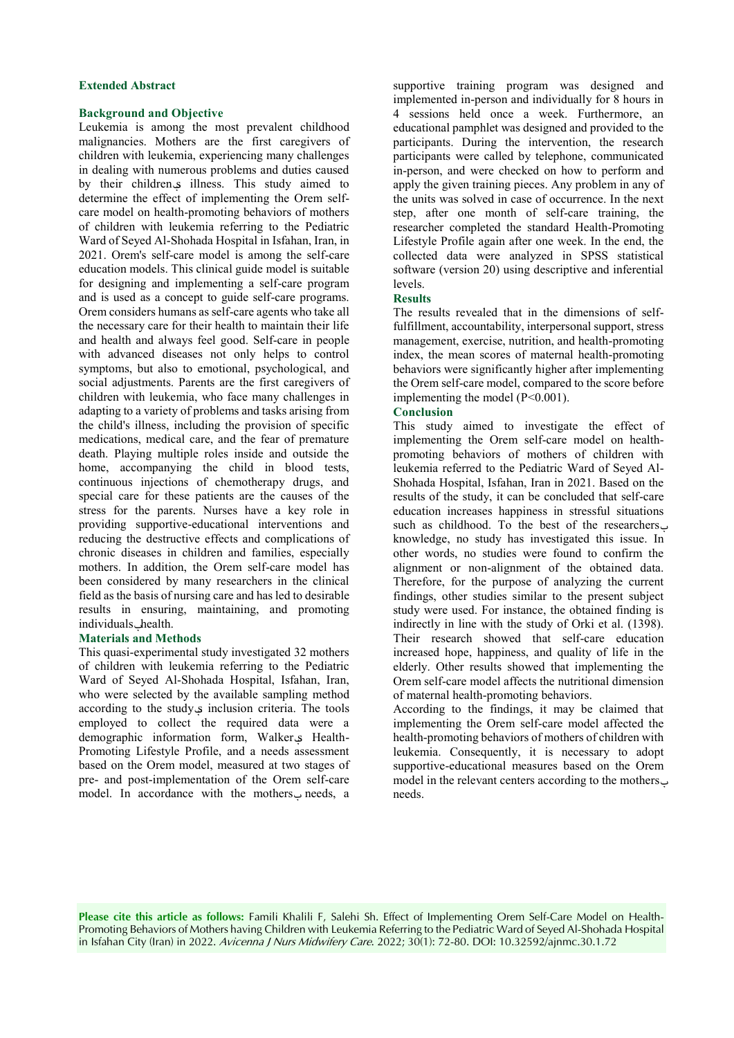#### **Extended Abstract**

## **Background and Objective**

Leukemia is among the most prevalent childhood malignancies. Mothers are the first caregivers of children with leukemia, experiencing many challenges in dealing with numerous problems and duties caused by their children<sub>s</sub> illness. This study aimed to determine the effect of implementing the Orem selfcare model on health-promoting behaviors of mothers of children with leukemia referring to the Pediatric Ward of Seyed Al-Shohada Hospital in Isfahan, Iran, in 2021. Orem's self-care model is among the self-care education models. This clinical guide model is suitable for designing and implementing a self-care program and is used as a concept to guide self-care programs. Orem considers humans as self-care agents who take all the necessary care for their health to maintain their life and health and always feel good. Self-care in people with advanced diseases not only helps to control symptoms, but also to emotional, psychological, and social adjustments. Parents are the first caregivers of children with leukemia, who face many challenges in adapting to a variety of problems and tasks arising from the child's illness, including the provision of specific medications, medical care, and the fear of premature death. Playing multiple roles inside and outside the home, accompanying the child in blood tests, continuous injections of chemotherapy drugs, and special care for these patients are the causes of the stress for the parents. Nurses have a key role in providing supportive-educational interventions and reducing the destructive effects and complications of chronic diseases in children and families, especially mothers. In addition, the Orem self-care model has been considered by many researchers in the clinical field as the basis of nursing care and has led to desirable results in ensuring, maintaining, and promoting individuals\_health.

## **Materials and Methods**

This quasi-experimental study investigated 32 mothers of children with leukemia referring to the Pediatric Ward of Seyed Al-Shohada Hospital, Isfahan, Iran, who were selected by the available sampling method according to the study's inclusion criteria. The tools employed to collect the required data were a demographic information form, Walker's Health-Promoting Lifestyle Profile, and a needs assessment based on the Orem model, measured at two stages of pre- and post-implementation of the Orem self-care model. In accordance with the mothers' needs, a

supportive training program was designed and implemented in-person and individually for 8 hours in 4 sessions held once a week. Furthermore, an educational pamphlet was designed and provided to the participants. During the intervention, the research participants were called by telephone, communicated in-person, and were checked on how to perform and apply the given training pieces. Any problem in any of the units was solved in case of occurrence. In the next step, after one month of self-care training, the researcher completed the standard Health-Promoting Lifestyle Profile again after one week. In the end, the collected data were analyzed in SPSS statistical software (version 20) using descriptive and inferential levels.

## **Results**

The results revealed that in the dimensions of selffulfillment, accountability, interpersonal support, stress management, exercise, nutrition, and health-promoting index, the mean scores of maternal health-promoting behaviors were significantly higher after implementing the Orem self-care model, compared to the score before implementing the model (P<0.001).

## **Conclusion**

This study aimed to investigate the effect of implementing the Orem self-care model on healthpromoting behaviors of mothers of children with leukemia referred to the Pediatric Ward of Seyed Al-Shohada Hospital, Isfahan, Iran in 2021. Based on the results of the study, it can be concluded that self-care education increases happiness in stressful situations such as childhood. To the best of the researchers knowledge, no study has investigated this issue. In other words, no studies were found to confirm the alignment or non-alignment of the obtained data. Therefore, for the purpose of analyzing the current findings, other studies similar to the present subject study were used. For instance, the obtained finding is indirectly in line with the study of Orki et al. (1398). Their research showed that self-care education increased hope, happiness, and quality of life in the elderly. Other results showed that implementing the Orem self-care model affects the nutritional dimension of maternal health-promoting behaviors.

According to the findings, it may be claimed that implementing the Orem self-care model affected the health-promoting behaviors of mothers of children with leukemia. Consequently, it is necessary to adopt supportive-educational measures based on the Orem model in the relevant centers according to the mothers' needs.

**Please cite this article as follows:** Famili Khalili F, Salehi Sh. Effect of Implementing Orem Self-Care Model on Health-Promoting Behaviors of Mothers having Children with Leukemia Referring to the Pediatric Ward of Seyed Al-Shohada Hospital in Isfahan City (Iran) in 2022. Avicenna J Nurs Midwifery Care. 2022; 30(1): 72-80. DOI: 10.32592/ajnmc.30.1.72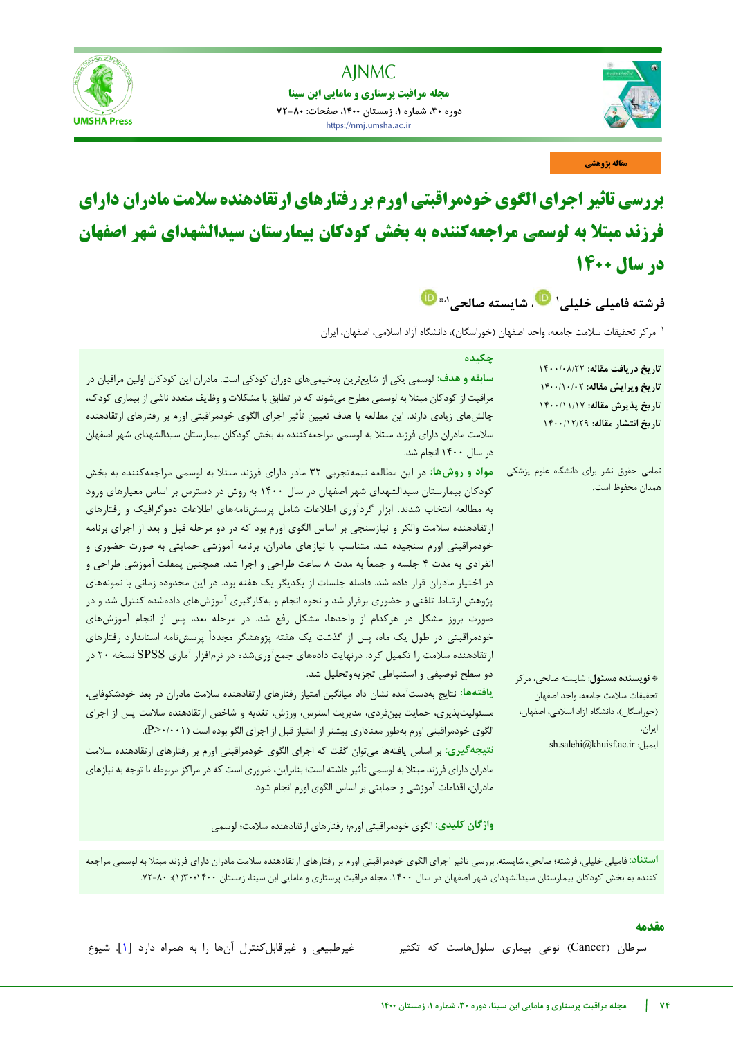

**مجله مراقبت پرستاری و مامایی ابن سینا دوره ،30 شماره ،1 زمستان ،1400 صفحات: 72-80** https://nmj.umsha.ac.ir

j

**SHA Press** 



**مقاله پژوهشی**

# **بررسی تاثیر اجرای الگوی خودمراقبتی اورم بر رفتارهای ارتقادهنده سلامت مادران دارای فرزند مبتلا به لوسمی مراجعهکننده به بخش کودکان بیمارستان سیدالشهدای شهر اصفهان در سال 1400**

فرشته فامیلی خلیلی<sup>۱</sup> تارسته مالحی<sup>۸۰</sup>

<sup>۱</sup> مرکز تحقیقات سلامت جامعه، واحد اصفهان (خوراسگان)، دانشگاه آزاد اسلامی، اصفهان، ایران

| چکیده<br><b>سابقه و هدف: ل</b> وسمی یکی از شایعترین بدخیمیهای دوران کودکی است. مادران این کودکان اولین مراقبان در<br>مراقبت از کودکان مبتلا به لوسمی مطرح میشوند که در تطابق با مشکلات و وظایف متعدد ناشی از بیماری کودک،<br>چالشهای زیادی دارند. این مطالعه با هدف تعیین تأثیر اجرای الگوی خودمراقبتی اورم بر رفتارهای ارتقادهنده<br>سلامت مادران دارای فرزند مبتلا به لوسمی مراجعهکننده به بخش کودکان بیمارستان سیدالشهدای شهر اصفهان<br>در سال ۱۴۰۰ انجام شد.                                                                                                                                                                                                                                                                                                                                                                                                                                                                                                                                                                                                          | تاريخ دريافت مقاله: ١٤٠٠/٠٨/٢٢<br>تاريخ ويرايش مقاله: ١۴٠٠/١٠/٠٢<br>تاريخ پذيرش مقاله: ١٤٠٠/١١/١٧<br>تاريخ انتشار مقاله: ١٤٠٠/١٢/٢٩                                    |
|---------------------------------------------------------------------------------------------------------------------------------------------------------------------------------------------------------------------------------------------------------------------------------------------------------------------------------------------------------------------------------------------------------------------------------------------------------------------------------------------------------------------------------------------------------------------------------------------------------------------------------------------------------------------------------------------------------------------------------------------------------------------------------------------------------------------------------------------------------------------------------------------------------------------------------------------------------------------------------------------------------------------------------------------------------------------------|------------------------------------------------------------------------------------------------------------------------------------------------------------------------|
| مواد و روشها: در این مطالعه نیمهتجربی ۳۲ مادر دارای فرزند مبتلا به لوسمی مراجعهکننده به بخش<br>کودکان بیمارستان سیدالشهدای شهر اصفهان در سال ۱۴۰۰ به روش در دسترس بر اساس معیارهای ورود<br>به مطالعه انتخاب شدند. ابزار گردآوری اطلاعات شامل پرسشiامههای اطلاعات دموگرافیک و رفتارهای<br>ارتقادهنده سلامت والکر و نیازسنجی بر اساس الگوی اورم بود که در دو مرحله قبل و بعد از اجرای برنامه<br>خودمراقبتی اورم سنجیده شد. متناسب با نیازهای مادران، برنامه آموزشی حمایتی به صورت حضوری و<br>انفرادی به مدت ۴ جلسه و جمعاً به مدت ۸ ساعت طراحی و اجرا شد. همچنین پمفلت آموزشی طراحی و<br>در اختیار مادران قرار داده شد. فاصله جلسات از یکدیگر یک هفته بود. در این محدوده زمانی با نمونههای<br>پژوهش ارتباط تلفنی و حضوری برقرار شد و نحوه انجام و بهکارگیری آموزشهای دادهشده کنترل شد و در<br>صورت بروز مشکل در هرکدام از واحدها، مشکل رفع شد. در مرحله بعد، پس از انجام آموزشهای<br>خودمراقبتی در طول یک ماه، پس از گذشت یک هفته پژوهشگر مجدداً پرسشنامه استاندارد رفتارهای<br>ارتقادهنده سلامت را تکمیل کرد. درنهایت دادههای جمعآوریشده در نرمافزار آماری SPSS نسخه ۲۰ در | تمامی حقوق نشر برای دانشگاه علوم پزشکی<br>همدان محفوظ است.                                                                                                             |
| دو سطح توصیفی و استنباطی تجزیهوتحلیل شد.<br><b>یافتهها:</b> نتایج بهدستآمده نشان داد میانگین امتیاز رفتارهای ارتقادهنده سلامت مادران در بعد خودشکوفایی،<br>مسئولیتپذیری، حمایت بینفردی، مدیریت استرس، ورزش، تغدیه و شاخص ارتقادهنده سلامت پس از اجرای<br>الگوی خودمراقبتی اورم بهطور معناداری بیشتر از امتیاز قبل از اجرای الگو بوده است ( P>٠/٠٠١).<br>نتیجهگیری: بر اساس یافتهها میتوان گفت که اجرای الگوی خودمراقبتی اورم بر رفتارهای ارتقادهنده سلامت<br>مادران دارای فرزند مبتلا به لوسمی تأثیر داشته است؛ بنابراین، ضروری است که در مراکز مربوطه با توجه به نیازهای<br>مادران، اقدامات آموزشی و حمایتی بر اساس الگوی اورم انجام شود.<br>واژگان کلیدی: الگوی خودمراقبتی اورم؛ رفتارهای ارتقادهنده سلامت؛ لوسمی                                                                                                                                                                                                                                                                                                                                                       | * <b>نویسنده مسئول</b> : شایسته صالحی، مرکز<br>تحقيقات سلامت جامعه، واحد اصفهان<br>(خوراسگان)، دانشگاه آزاد اسلامی، اصفهان،<br>ايران.<br>sh.salehi@khuisf.ac.ir ايميل: |

**استناد:** فامیلی خلیلی، فرشته؛ صالحی، شایسته. بررسی تاثیر اجرای الگوی خودمراقبتی اورم بر رفتارهای ارتقادهنده سالمت مادران دارای فرزند مبتال به لوسمی مراجعه کننده به بخش کودکان بیمارستان سیدالشهدای شهر اصفهان در سال .1400 مجله مراقبت پرستاری و مامایی ابن سینا، زمستان 1400؛30)1(: .72-80

## **مقدمه**

سرطان (Cancer) نوعی بیماری سلولهاست که تکثیر مسلولهاست که تکثیر غیرقابلکنترل آنها را به همراه دارد [1]. شیوع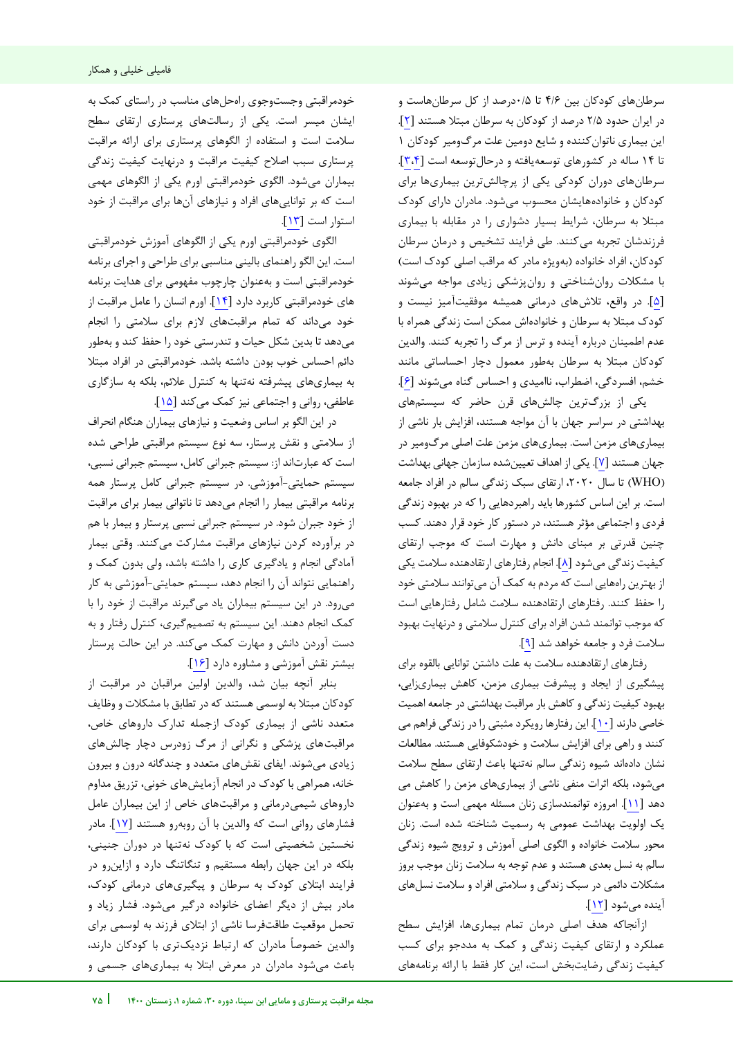طانرس های کودکان بین 4/6 تا 0/5درصد از کل سرطانهاست و در ایران حدود 2/5 درصد از کودکان به سرطان مبتال هستند [ 2]. این بیماری ناتوانکننده و شایع دومین علت مرگومیر کودکان 1 تا 14 ساله در کشورهای توسعهیافته و درحالتوسعه است [[3](#page-7-1)[،4](#page-7-0)]. سرطانهای دوران کودکی یکی از پرچالشترین بیماریها برای کودکان و خانوادههایشان محسوب میشود. مادران دارای کودک مبتال به سرطان، شرایط بسیار دشواری را در مقابله با بیماری فرزندشان تجربه میکنند. طی فرایند تشخیص و درمان سرطان کودکان، افراد خانواده (بهویژه مادر که مراقب اصلی کودک است) با مشکالت روانشناختی و روانپزشکی زیادی مواجه میشوند [5]. در واقع، تالشهای درمانی همیشه موفقیتآمیز نیست و کودک مبتال به سرطان و خانوادهاش ممکن است زندگی همراه با عدم اطمینان درباره آینده و ترس از مرگ را تجربه کنند. والدین کودکان مبتال به سرطان بهطور معمول دچار احساساتی مانند خشم، افسردگی، اضطراب، ناامیدی و احساس گناه میشوند [6].

یکی از بزرگترین چالشهای قرن حاضر که سیستمهای بهداشتی در سراسر جهان با آن مواجه هستند، افزایش بار ناشی از بیماریهای مزمن است. بیماری های مزمن علت اصلی مرگومیر در جهان هستند [7]. یکی از اهداف تعیینشده سازمان جهانی بهداشت )WHO )تا سال ،2020 ارتقای سبک زندگی سالم در افراد جامعه است. بر این اساس کشورها باید راهبردهایی را که در بهبود زندگی فردی و اجتماعی مؤثر هستند، در دستور کار خود قرار دهند. کسب چنین قدرتی بر مبنای دانش و مهارت است که موجب ارتقای کیفیت زندگی میشود [8]. انجام رفتارهای ارتقادهنده سالمت یکی از بهترین راههایی است که مردم به کمک آن میتوانند سالمتی خود را حفظ کنند. رفتارهای ارتقادهنده سالمت شامل رفتارهایی است که موجب توانمند شدن افراد برای کنترل سالمتی و درنهایت بهبود سالمت فرد و جامعه خواهد شد [[9](#page-7-2)].

رفتارهای ارتقادهنده سالمت به علت داشتن توانایی بالقوه برای پیشگیری از ایجاد و پیشرفت بیماری مزمن، کاهش بیماریزایی، بهبود کیفیت زندگی و کاهش بار مراقبت بهداشتی در جامعه اهمیت خاصی دارند [10]. این رفتارها رویکرد مثبتی را در زندگی فراهم می کنند و راهی برای افزایش سالمت و خودشکوفایی هستند. مطالعات نشان دادهاند شیوه زندگی سالم نهتنها باعث ارتقای سطح سالمت میشود، بلکه اثرات منفی ناشی از بیماریهای مزمن را کاهش می دهد [۱۱]. امروزه توانمندسازی زنان مسئله مهمی است و به عنوان یک اولویت بهداشت عمومی به رسمیت شناخته شده است. زنان محور سالمت خانواده و الگوی اصلی آموزش و ترویج شیوه زندگی سالم به نسل بعدی هستند و عدم توجه به سالمت زنان موجب بروز مشکالت دائمی در سبک زندگی و سالمتی افراد و سالمت نسلهای آینده میشود [12] .

ازآنجاکه هدف اصلی درمان تمام بیماری ها افزایش سطح ، عملکرد و ارتقای کیفیت زندگی و کمک به مددجو برای کسب کیفیت زندگی رضایتبخش است، این کار فقط با ارائه برنامههای

j

خودمراقبتی وجستوجوی راهحلهای مناسب در راستای کمک به ایشان میسر است. یکی از رسالتهای پرستاری ارتقای سطح سلامت است و استفاده از الگوهای پرستاری برای ارائه مراقبت پرستاری سبب اصالح کیفیت مراقبت و درنهایت کیفیت زندگی بیماران میشود. الگوی خودمراقبتی اورم یکی از الگوهای مهمی است که بر تواناییهای افراد و نیازهای آنها برای مراقبت از خود استوار است [13].

الگوی خودمراقبتی اورم یکی از الگوهای آموزش خودمراقبتی است. این الگو راهنمای بالینی مناسبی برای طراحی و اجرای برنامه خودمراقبتی است و بهعنوان چارچوب مفهومی برای هدایت برنامه های خودمراقبتی کاربرد دارد [14]. اورم انسان را عامل مراقبت از خود میداند که تمام مراقبتهای الزم برای سالمتی را انجام میدهد تا بدین شکل حیات و تندرستی خود را حفظ کند و بهطور دائم احساس خوب بودن داشته باشد. خودمراقبتی در افراد مبتال به بیماریهای پیشرفته نهتنها به کنترل عالئم، بلکه به سازگاری عاطفی، روانی و اجتماعی نیز کمک میکند [15].

در این الگو بر اساس وضعیت و نیازهای بیماران هنگام انحراف از سالمتی و نقش پرستار، سه نوع سیستم مراقبتی طراحی شده است که عبارت اند از: سیستم جبرانی کامل، سیستم جبرانی نسبی، سیستم حمایتی-آموزشی. در سیستم جبرانی کامل پرستار همه برنامه مراقبتی بیمار را انجام میدهد تا ناتوانی بیمار برای مراقبت از خود جبران شود. در سیستم جبرانی نسبی پرستار و بیمار با هم در برآورده کردن نیازهای مراقبت مشارکت میکنند. وقتی بیمار آمادگی انجام و یادگیری کاری را داشته باشد، ولی بدون کمک و راهنمایی نتواند آن را انجام دهد، سیستم حمایتی-آموزشی به کار میرود. در این سیستم بیماران یاد میگیرند مراقبت از خود را با کمک انجام دهند. این سیستم به تصمیمگیری، کنترل رفتار و به دست آوردن دانش و مهارت کمک میکند. در این حالت پرستار بیشتر نقش آموزشی و مشاوره دارد [16].

بنابر آنچه بیان شد، والدین اولین مراقبان در مراقبت از کودکان مبتال به لوسمی هستند که در تطابق با مشکالت و وظایف متعدد ناشی از بیماری کودک ازجمله تدارک داروهای خاص، مراقبتهای پزشکی و نگرانی از مرگ زودرس دچار چالشهای شوندزیادی می . ایفای نقشهای متعدد و چندگانه درون و بیرون خانه، همراهی با کودک در انجام آزمایش های خونی، تزریق مداوم داروهای شیمی درمانی و مراقبتهای خاص از این بیماران عامل فشارهای روانی است که والدین با آن روبهرو هستند [۱۷]. مادر نخستین شخصیتی است که با کودک نهتنها در دوران جنینی، بلکه در این جهان رابطه مستقیم و تنگاتنگ دارد و ازاینرو در فرایند ابتالی کودک به سرطان و پیگیریهای درمانی کودک، مادر بیش از دیگر اعضای خانواده درگیر میشود. فشار زیاد و تحمل موقعیت طاقتفرسا ناشی از ابتالی فرزند به لوسمی برای والدین خصوصا مادران که ارتباط نزدیکتری با کودکان دارند، باعث میشود مادران در معرض ابتال به بیماریهای جسمی و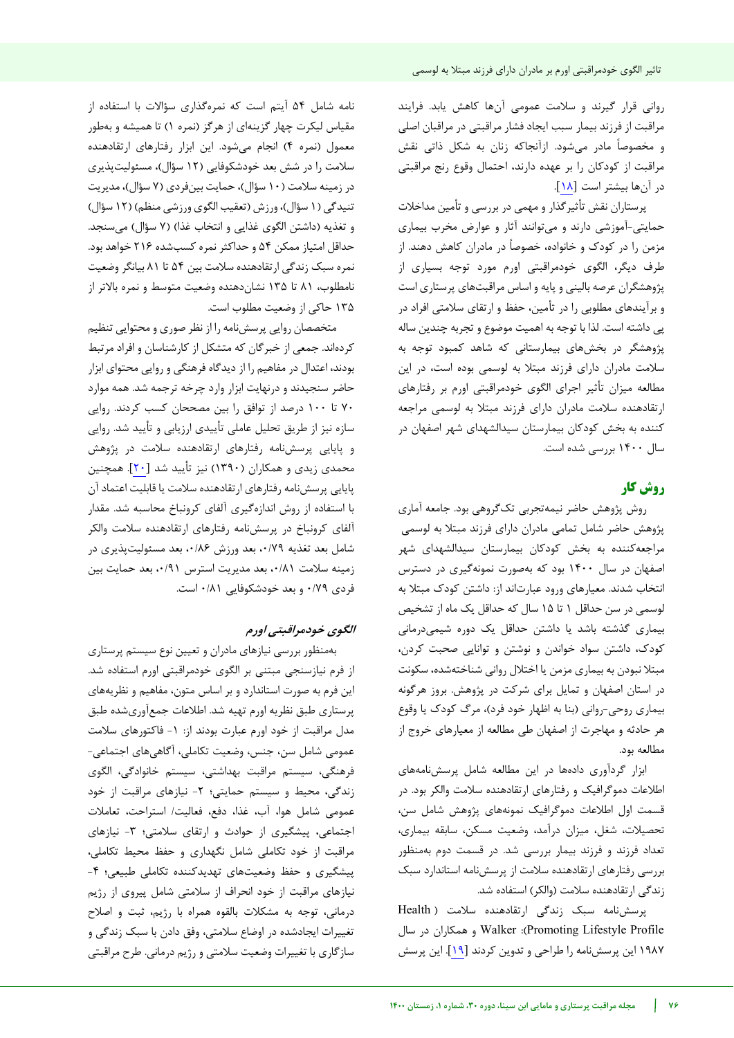روانی قرار گیرند و سلامت عمومی آنها کاهش یابد. فرایند مراقبت از فرزند بیمار سبب ایجاد فشار مراقبتی در مراقبان اصلی و مخصوصا مادر میشود. ازآنجاکه زنان به شکل ذاتی نقش مراقبت از کودکان را بر عهده دارند، احتمال وقوع رنج مراقبتی در آنها بیشتر است [18].

پرستاران نقش تأثیر گذار و مهمی در بررسی و تأمین مداخلات حمایتی-آموزشی دارند و می توانند آثار و عوارض مخرب بیماری مزمن را در کودک و خانواده، خصوصاً در مادران کاهش دهند. از طرف دیگر، الگوی خودمراقبتی اورم مورد توجه بسیاری از پژوهشگران عرصه بالینی و پایه و اساس مراقبتهای پرستاری است و برآیندهای مطلوبی را در تأمین، حفظ و ارتقای سالمتی افراد در پی داشته است. لذا با توجه به اهمیت موضوع و تجربه چندین ساله پژوهشگر در بخشهای بیمارستانی که شاهد کمبود توجه به سالمت مادران دارای فرزند مبتال به لوسمی بوده است، در این مطالعه میزان تأثیر اجرای الگوی خودمراقبتی اورم بر رفتارهای ارتقادهنده سالمت مادران دارای فرزند مبتال به لوسمی مراجعه کننده به بخش کودکان بیمارستان سیدالشهدای شهر اصفهان در سال 1400 بررسی شده است.

# **کار روش**

روش پژوهش حاضر نیمهتجربی تکگروهی بود. جامعه آماری پژوهش حاضر شامل تمامی مادران دارای فرزند مبتلا به لوسمی مراجعهکننده به بخش کودکان بیمارستان سیدالشهدای شهر اصفهان در سال 1400 بود که بهصورت نمونهگیری در دسترس انتخاب شدند. معیارهای ورود عبارتاند از: داشتن کودک مبتال به لوسمی در سن حداقل 1 تا 15 سال که حداقل یک ماه از تشخیص بیماری گذشته باشد یا داشتن حداقل یک دوره شیمیدرمانی کودک، داشتن سواد خواندن و نوشتن و توانایی صحبت کردن، مبتال نبودن به بیماری مزمن یا اختالل روانی شناختهشده، سکونت در استان اصفهان و تمایل برای شرکت در پژوهش. بروز هرگونه بیماری روحی-روانی )بنا به اظهار خود فرد(، مرگ کودک یا وقوع هر حادثه و مهاجرت از اصفهان طی مطالعه از معیارهای خروج از مطالعه بود.

ابزار گردآوری دادهها در این مطالعه شامل پرسشنامههای اطلاعات دموگرافیک و رفتارهای ارتقادهنده سلامت والکر بود. در قسمت اول اطلاعات دموگرافیک نمونههای پژوهش شامل سن، تحصیلات، شغل، میزان درآمد، وضعیت مسکن، سابقه بیماری، تعداد فرزند و فرزند بیمار یبررس شد . در قسمت دوم به منظور بررسی رفتارهای ارتقادهنده سلامت از پرسشنامه استاندارد سبک زندگی ارتقادهنده سلامت (والکر) استفاده شد.

پرسشنامه سبک زندگی ارتقادهنده سلامت ( Health Profile Lifestyle Promoting): Walker و همکاران در سال ۱۹۸۷ این پرسشنامه را طراحی و تدوین کردند [<mark>۱۹]</mark>. این پرسش

 نامه شامل 54 آیتم است که نمرهگذاری سؤاالت با استفاده از مقیاس لیکرت چهار گزینهای از هرگز )نمره 1( تا همیشه و بهطور معمول )نمره 4( انجام میشود. این ابزار رفتارهای ارتقادهنده سالمت را در شش بعد خودشکوفایی )12 سؤال(، مسئولیتپذیری در زمینه سالمت )10 سؤال(، حمایت بینفردی )7 سؤال(، مدیریت تنیدگی ( ۱ سؤال)، ورزش (تعقیب الگوی ورزشی منظم) ( ۱۲ سؤال) و تغذیه (داشتن الگوی غذایی و انتخاب غذا) (۷ سؤال) می سنجد. حداقل امتیاز ممکن 54 و حداکثر نمره کسبشده 216 خواهد بود. نمره سبک زندگی ارتقادهنده سالمت بین 54 تا 81 بیانگر وضعیت نامطلوب، 81 تا 135 نشاندهنده وضعیت متوسط و نمره باالتر از 135 حاکی از وضعیت مطلوب است.

متخصصان روایی پرسش نامه را از نظر صوری و محتوایی تنظیم کردهاند. جمعی از خبرگان که متشکل از کارشناسان و افراد مرتبط بودند، اعتدال در مفاهیم را از دیدگاه فرهنگی و روایی محتوای ابزار حاضر سنجیدند و درنهایت ابزار وارد چرخه ترجمه شد. همه موارد 70 تا 100 درصد از توافق را بین مصححان کسب کردند. روایی سازه نیز از طریق تحلیل عاملی تأییدی ارزیابی و تأیید شد. روایی و پایایی پرسشنامه رفتارهای ارتقادهنده سالمت در پژوهش محمدی زیدی و همکاران (۱۳۹۰) نیز تأیید شد [۲۰]. همچنین پایایی پرسشنامه رفتارهای ارتقادهنده سالمت یا قابلیت اعتماد آن با استفاده از روش اندازهگیری آلفای کرونباخ محاسبه شد. مقدار آلفای کرونباخ در پرسشنامه رفتارهای ارتقادهنده سالمت والکر شامل بعد تغذیه ،0/79 بعد ورزش ،0/86 بعد مسئولیتپذیری در زمینه سالمت ،0/81 بعد مدیریت استرس ،0/91 بعد حمایت بین فردی 0/79 و بعد خودشکوفایی 0/81 است.

# الگوی خودمراقبتی اورم

به منظور بررسی نیازهای مادران و تعیین نوع سیستم پرستاری از فرم نیازسنجی مبتنی بر الگوی خودمراقبتی اورم استفاده شد. این فرم به صورت استاندارد و بر اساس متون، مفاهیم و نظریههای پرستاری طبق نظریه اورم تهیه شد. اطلاعات جمع آوریشده طبق مدل مراقبت از خود اورم عبارت بودند از: ١- فاکتورهای سلامت عمومی شامل سن، جنس، وضعیت تکاملی، آگاهیهای اجتماعی- فرهنگی، سیستم مراقبت بهداشتی، سیستم خانوادگی، الگوی زندگی، محیط و سیستم حمایتی؛ -2 نیازهای مراقبت از خود عمومی شامل هوا، آب، غذا، دفع، فعالیت/ استراحت، تعامالت اجتماعی، پیشگیری از حوادث و ارتقای سلامتی؛ ۳- نیازهای مراقبت از خود تکاملی شامل نگهداری و حفظ محیط تکاملی، پیشگیری و حفظ وضعیتهای تهدیدکننده تکاملی طبیعی؛ -4 نیازهای مراقبت از خود انحراف از سالمتی شامل پیروی از رژیم درمانی، توجه به مشکالت بالقوه همراه با رژیم، ثبت و اصالح تغییرات ایجادشده در اوضاع سالمتی، وفق دادن با سبک زندگی و سازگاری با تغییرات وضعیت سالمتی و رژیم درمانی. طرح مراقبتی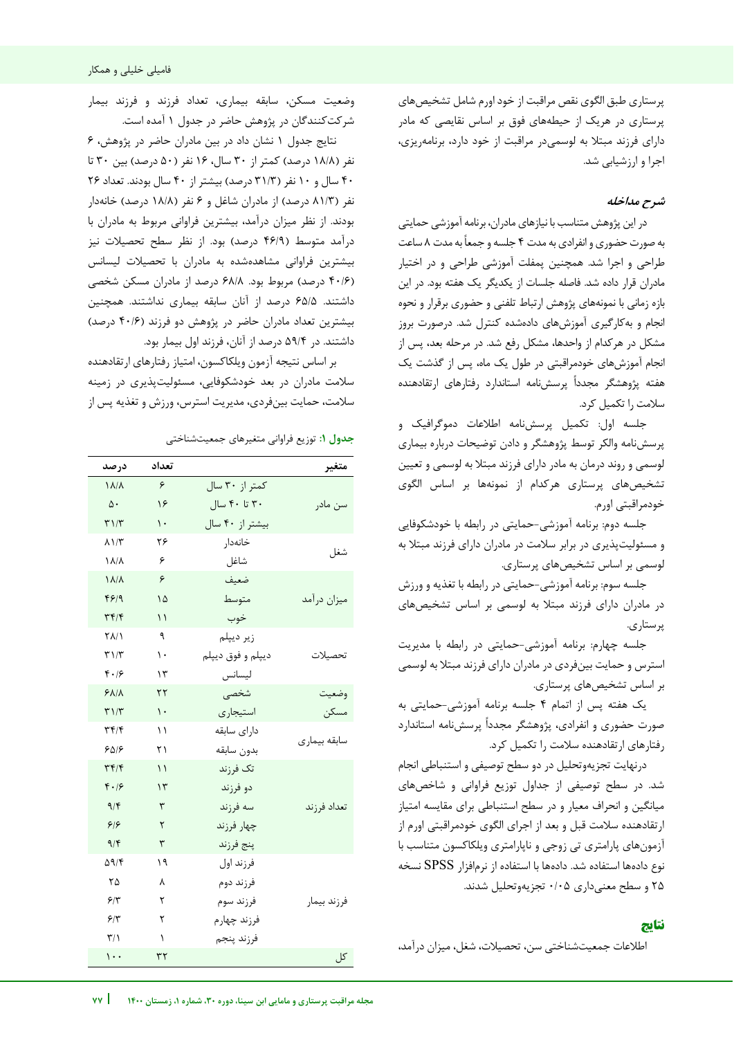پرستاری طبق الگوی نقص مراقبت از خود اورم شامل تشخیصهای پرستاری در هریک از حیطههای فوق بر اساس نقایصی که مادر یدارا فرزند مبتال به لوسمیدر مراقبت از خود دارد، برنامهریزی، اجرا و ارزشیابی شد.

# **شرح مداخله**

در این پژوهش متناسب با نیازهای مادران، برنامه آموزشی حمایتی به صورت حضوری وانفرادی به مدت 4 جلسه و جمعا به مدت 8 ساعت طراحی و اجرا شد. همچنین پمفلت آموزشی طراحی و در اختیار مادران قرار داده شد. فاصله جلسات از یکدیگر یک هفته بود. در این بازه زمانی با نمونههای پژوهش ارتباط تلفنی و حضوری برقرار و نحوه انجام و بهکارگیری آموزشهای دادهشده کنترل شد. درصورت بروز مشکل در هرکدام از واحدها، مشکل رفع شد. در مرحله بعد، پس از انجام آموزشهای خودمراقبتی در طول یک ماه، پس از گذشت یک هفته پژوهشگر مجددا پرسشنامه استاندارد رفتارهای ارتقادهنده سالمت را تکمیل کرد.

جلسه اول: تکمیل پرسشنامه اطالعات دموگرافیک و پرسشنامه والکر توسط پژوهشگر و دادن توضیحات درباره بیماری لوسمی و روند درمان به مادر دارای فرزند مبتال به لوسمی و تعیین تشخیصهای پرستاری هرکدام از نمونهها بر اساس الگوی خودمراقبتی اورم.

جلسه دوم: برنامه آموزشی-حمایتی در رابطه با خودشکوفایی پذیو مسئولیت ری در برابر سالمت در مادران دارای فرزند مبتال به لوسمی بر اساس تشخیصهای پرستاری.

جلسه سوم: برنامه آموزشی-حمایتی در رابطه با تغذیه و ورزش در مادران دارای فرزند مبتال به لوسمی بر اساس تشخیصهای پرستاری.

جلسه چهارم: برنامه آموزشی-حمایتی در رابطه با مدیریت استرس و حمایت بینفردی در مادران دارای فرزند مبتال به لوسمی بر اساس تشخیصهای پرستاری.

یک هفته پس از اتمام 4 جلسه برنامه آموزشی-حمایتی به صورت حضوری و انفرادی، پژوهشگر مجددا پرسشنامه استاندارد رفتارهای ارتقادهنده سالمت را تکمیل کرد.

درنهایت تجزیهوتحلیل در دو سطح توصیفی و استنباطی انجام شد. در سطح توصیفی از جداول توزیع فراوانی و شاخصهای میانگین و انحراف معیار و در سطح استنباطی برای مقایسه امتیاز ارتقادهنده سالمت قبل و بعد از اجرای الگوی خودمراقبتی اورم از آزمونهای پارامتری تی زوجی و ناپارامتری ویلکاکسون متناسب با نوع دادهها استفاده شد. دادهها با استفاده از نرمافزار SPSS نسخه 25 و سطح معنیداری 0/05 تجزیهوتحلیل شدند.

# **نتایج**

j

اطلاعات جمعیتشناختی سن، تحصیلات، شغل، میزان درآمد،

وضعیت مسکن، سابقه بیماری، تعداد فرزند و فرزند بیمار شرکتکنندگان در پژوهش حاضر در جدول 1 آمده است.

نتایج جدول 1 نشان داد در بین مادران حاضر در پژوهش، 6 نفر (۱۸/۸ درصد) کمتر از ۳۰ سال، ۱۶ نفر (۵۰ درصد) بین ۳۰ تا 40 سال و 10 نفر )31/3 درصد( بیشتر از 40 سال بودند. تعداد 26 نفر (۸۱/۳ درصد) از مادران شاغل و ۶ نفر (۱۸/۸ درصد) خانهدار بودند. از نظر میزان درآمد، بیشترین فراوانی مربوط به مادران با درآمد متوسط (۴۶/۹ درصد) بود. از نظر سطح تحصیلات نیز بیشترین فراوانی مشاهدهشده به مادران با تحصیالت لیسانس )40/6 درصد( مربوط بود. 68/8 درصد از مادران مسکن شخصی داشتند. 65/5 درصد از آنان سابقه بیماری نداشتند. همچنین بیشترین تعداد مادران حاضر در پژوهش دو فرزند )40/6 درصد( داشتند. در 59/4 درصد از آنان، فرزند اول بیمار بود.

بر اساس نتیجه آزمون ویلکاکسون، امتیاز رفتارهای ارتقادهنده سالمت مادران در بعد خودشکوفایی، مسئولیت در زمینه پذیری سالمت، حمایت بینفردی، مدیریت استرس، ورزش و تغذیه پس از

**جدول :1** توزیع فراوانی متغیرهای جمعیتشناختی

| متغير        |                   | تعداد         | درصد                              |
|--------------|-------------------|---------------|-----------------------------------|
|              | کمتر از ۳۰ سال    | ۶             | $\lambda/\lambda$                 |
| سن مادر      | ۳۰ تا ۴۰ سال      | ۱۶            | $\Delta \cdot$                    |
|              | بیشتر از ۴۰ سال   | $\mathcal{L}$ | T1/T                              |
|              | خانەدار           | ۲۶            | $\lambda$ $\gamma$                |
| شغل          | شاغل              | ۶             | $\lambda/\lambda$                 |
| ميزان درآمد  | ضعيف              | ۶             | $\lambda/\lambda$                 |
|              | متوسط             | ۱۵            | ۴۶۱۹                              |
|              | خوب               | ۱۱            | ۳۴/۴                              |
| تحصيلات      | زير ديپلم         | ٩             | ۲۸/۱                              |
|              | ديپلم و فوق ديپلم | ١.            | $\mathbf{r} \setminus \mathbf{r}$ |
|              | ليسانس            | ۱۳            | $f \cdot 19$                      |
| وضعيت        | شخصى              | ۲۲            | $Y\Lambda/\Lambda$                |
| مسكن         | استيجاري          | $\mathcal{L}$ | T1/T                              |
| سابقه بيمارى | داراي سابقه       | ۱۱            | $\tau f/\tau$                     |
|              | بدون سابقه        | ۲۱            | ۶۵۱۶                              |
|              | تک فرزند          | ۱۱            | Tf/f                              |
|              | دو فرزند          | ۱۳            | F.19                              |
| تعداد فرزند  | سه فرزند          | ٣             | 9/5                               |
|              | چهار فرزند        | ٢             | 99                                |
|              | پنج فرزند         | ٣             | 9/5                               |
| فرزند بيمار  | فرزند اول         | ۱۹            | $\Delta$ 9/۴                      |
|              | فرزند دوم         | ٨             | ۲۵                                |
|              | فرزند سوم         | ٢             | ۶۳                                |
|              | فرزند چهارم       | ٢             | ۶۳                                |
|              | فرزند پنجم        | ١             | ۳۱۱                               |
| کل           |                   | ٣٢            | $\cdots$                          |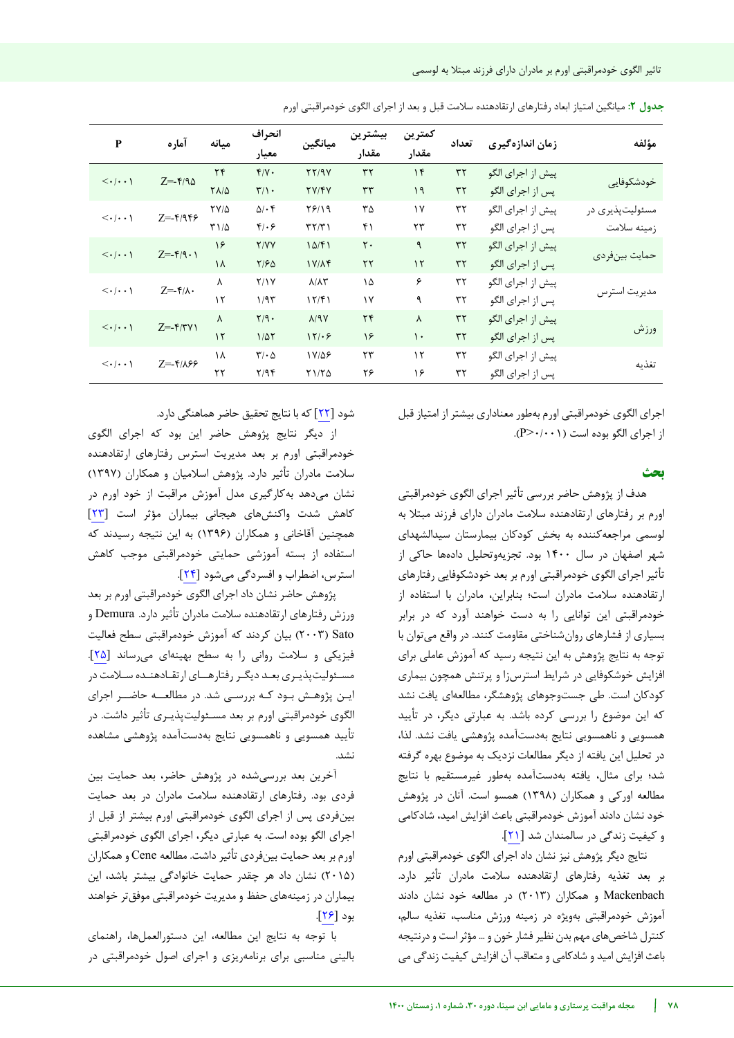| مؤلفه                          | زمان اندازهگیری   | تعداد      | كمترين<br>مقدار | بيشترين<br>مقدار | ميانگين                           | انحراف<br>معيار             | مىانە             | آماره                                               | $\mathbf{P}$                          |
|--------------------------------|-------------------|------------|-----------------|------------------|-----------------------------------|-----------------------------|-------------------|-----------------------------------------------------|---------------------------------------|
| خودشكوفايي                     | پیش از اجرای الگو | $\tau\tau$ | $\gamma$        | $\tau\tau$       | YY/9Y                             | $Y/Y$ .                     | $\tau$            | $Z = -\frac{\epsilon}{3}$                           | $\langle \cdot   \cdot \cdot \rangle$ |
|                                | پس از اجرای الگو  | $\tau\tau$ | ۱۹              | ٣٣               | TY/YY                             | $\Upsilon/\Upsilon$ .       | $Y\Lambda/\Delta$ |                                                     |                                       |
| مسئوليتپذيري در<br>زمينه سلامت | پیش از اجرای الگو | ٣٢         | $\gamma$        | ٣۵               | 7819                              | $\Delta/\cdot$ ۴            | $YV/\Delta$       | $Z = -Y/959$                                        | $\langle \cdot   \cdot \cdot \rangle$ |
|                                | پس از اجرای الگو  | ٣٢         | ٢٣              | ۴۱               | $\mathbf{r}\mathbf{r}/\mathbf{r}$ | $f(\cdot)$                  | $T1/\Delta$       |                                                     |                                       |
| حمايت بينفردي                  | پیش از اجرای الگو | $\tau\tau$ | ٩               | $\mathsf{r}$ .   | 10/F1                             | Y/YY                        | ۱۶                | $Z = -\mathfrak{f}/\mathfrak{q} \cdot \mathfrak{h}$ | $\langle \cdot   \cdot \cdot \rangle$ |
|                                | پس از اجرای الگو  | $\tau\tau$ | $\mathcal{N}$   | $\tau\tau$       | $1Y/\Lambda f$                    | Y/FQ                        | ۱۸                |                                                     |                                       |
| مدیریت استرس                   | پیش از اجرای الگو | ٣٢         | ۶               | ۱۵               | $\lambda/\lambda\tau$             | Y/Y                         | λ                 | $Z = -\mathbf{f}/\lambda$ .                         | $\langle \cdot   \cdot \cdot \rangle$ |
|                                | پس از اجرای الگو  | ٣٢         | ٩               | ۱٧               | 17/F1                             | 1/95                        | $\lambda$         |                                                     |                                       |
| ورزش                           | پیش از اجرای الگو | ٣٢         | γ               | $\tau$           | $\lambda$ /9Y                     | $Y/9$ .                     | $\lambda$         | $Z = -\frac{\mu}{\pi}$                              | $\langle \cdot   \cdot \cdot \rangle$ |
|                                | پس از اجرای الگو  | ٣٢         | $\mathcal{L}$   | ۱۶               | 171.9                             | $1/\Delta\Upsilon$          | $\mathcal{N}$     |                                                     |                                       |
| تغذىه                          | پیش از اجرای الگو | ٣٢         | $\mathcal{N}$   | ٢٣               | 18/08                             | $\mathbf{r}\cdot\mathbf{r}$ | ١٨                | $Z = -\frac{9}{2}$                                  | $\langle \cdot   \cdot \cdot \rangle$ |
|                                | پس از اجرای الگو  | ٣٢         | ۱۶              | ۲۶               | Y1/YQ                             | Y/9F                        | ٢٢                |                                                     |                                       |

**جدول :2** میانگین امتیاز ابعاد رفتارهای ارتقادهنده سالمت قبل و بعد از اجرای الگوی خودمراقبتی اورم

اجرای الگوی خودمراقبتی اورم بهطور معناداری بیشتر از امتیاز قبل از اجرای الگو بوده است ( $\triangleright\cdot\cdot\cdot\cdot$ .

## **بحث**

هدف از پژوهش حاضر بررسی تأثیر اجرای الگوی خودمراقبتی اورم بر رفتارهای ارتقادهنده سلامت مادران دارای فرزند مبتلا به لوسمی مراجعه کننده به بخش کودکان بیمارستان سیدالشهدای شهر اصفهان در سال 1400 بود. تجزیهوتحلیل دادهها حاکی از تأثیر اجرای الگوی خودمراقبتی اورم بر بعد خودشکوفایی رفتارهای ارتقادهنده سالمت مادران است؛ بنابراین، مادران با استفاده از خودمراقبتی این توانایی را به دست خواهند آورد که در برابر بسیاری از فشارهای روانشناختی مقاومت کنند. در واقع میتوان با توجه به نتایج پژوهش به این نتیجه رسید که آموزش عاملی برای افزایش خوشکوفایی در شرایط استرسزا و پرتنش همچون بیماری کودکان است. طی جستوجوهای پژوهشگر، مطالعهای یافت نشد که این موضوع را بررسی کرده باشد. به عبارتی دیگر، در تأیید همسویی و ناهمسویی نتایج بهدستآمده پژوهشی یافت نشد. لذا، در تحلیل این یافته از دیگر مطالعات نزدیک به موضوع بهره گرفته شد؛ برای مثال، یافته بهدستآمده بهطور غیرمستقیم با نتایج مطالعه اورکی و همکاران )1398( همسو است. آنان در پژوهش خود نشان دادند آموزش خودمراقبتی باعث افزایش امید، شادکامی و کیفیت زندگی در سالمندان شد [21] .

نتایج دیگر پژوهش نیز نشان داد اجرای الگوی خودمراقبتی اورم بر بعد تغذیه رفتارهای ارتقادهنده سلامت مادران تأثیر دارد. Mackenbach و همکاران )2013( در مطالعه خود نشان دادند آموزش خودمراقبتی بهویژه در زمینه ورزش مناسب، تغذیه سالم، کنترل شاخصهای مهم بدن نظیرفشار خون و ... مؤثر است و درنتیجه باعث افزایش امید و شادکامی و متعاقب آن افزایش کیفیت زندگی می

شود [٢٢] که با نتایج تحقیق حاضر هماهنگی دارد.

از دیگر نتایج پژوهش حاضر این بود که اجرای الگوی خودمراقبتی اورم بر بعد مدیریت استرس رفتارهای ارتقادهنده سالمت مادران تأثیر دارد. پژوهش اسالمیان و همکاران )1397( نشان میدهد بهکارگیری مدل آموزش مراقبت از خود اورم در کاهش شدت واکنشهای هیجانی بیماران مؤثر است [23] همچنین آقاخانی و همکاران )1396( به این نتیجه رسیدند که استفاده از بسته آموزشی حمایتی خودمراقبتی موجب کاهش استرس، اضطراب و افسردگی میشود [24].

پژوهش حاضر نشان داد اجرای الگوی خودمراقبتی اورم بر بعد ورزش رفتارهای ارتقادهنده سلامت مادران تأثیر دارد. Demura و Sato( 2003 )بیان کردند که آموزش خودمراقبتی سطح فعالیت فیزیکی و سالمت روانی را به سطح بهینهای میرساند [25]. مسـئولیتپذیـری بعـد دیگـر رفتارهــای ارتقـادهنـده سـالمت در ایـن پژوهـش بـود کـه بررسـی شد. در مطالعــه حاضــر اجرای الگوی خودمراقبتی اورم بر بعد مسـئولیتپذیـری تأثیر داشت. در تأیید همسویی و ناهمسویی نتایج بهدستآمده پژوهشی مشاهده نشد.

آخرین بعد بررسی شده در پژوهش حاضر، بعد حمایت بین فردی بود. رفتارهای ارتقادهنده سالمت مادران در بعد حمایت بینفردی پس از اجرای الگوی خودمراقبتی اورم بیشتر از قبل از اجرای الگو بوده است. به عبارتی دیگر، اجرای الگوی خودمراقبتی اورم بر بعد حمایت بینفردی تأثیر داشت. مطالعه Cene و همکاران )2015( نشان داد هر چقدر حمایت خانوادگی بیشتر باشد، این بیماران در زمینههای حفظ و مدیریت خودمراقبتی موفقتر خواهند بود [26].

با توجه به نتایج این مطالعه، این دستورالعملها، راهنمای بالینی مناسبی برای برنامهریزی و اجرای اصول خودمراقبتی در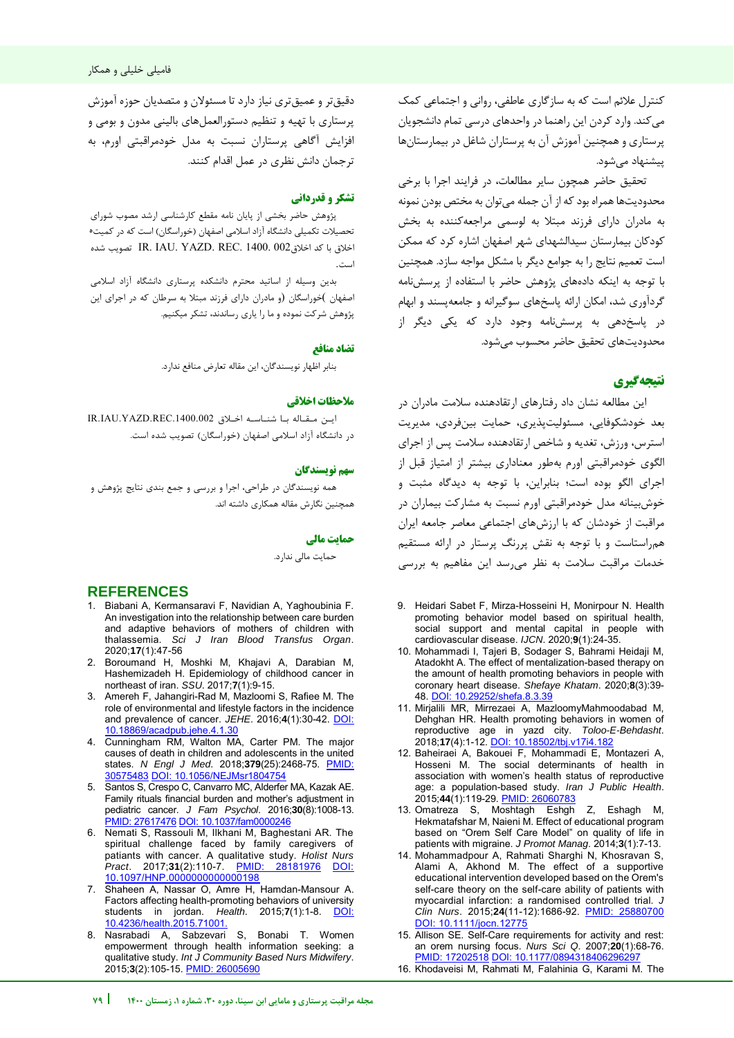کنترل علائم است که به سازگاری عاطفی، روانی و اجتماعی کمک می کند. وارد کردن این راهنما در واحدهای درسی تمام دانشجویان پرستاری و همچنین آموزش آن به پرستاران شاغل در بیمارستانها پیشنهاد می شود.

تحقیق حاضر همچون سایر مطالعات، در فرایند اجرا با برخی محدودیتها همراه بود که از آن جمله میتوان به مختص بودن نمونه به مادران دارای فرزند مبتلا به لوسمی مراجعه کننده به بخش کودکان بیمارستان سیدالشهدای شهر اصفهان اشاره کرد که ممکن است تعمیم نتایج را به جوامع دیگر با مشکل مواجه سازد. همچنین با توجه به اینکه دادههای پژوهش حاضر با استفاده از پرسشنامه گردآوری شد، امکان ارائه پاسخهای سوگیرانه و جامعهپسند و ابهام در پاسخدهی به پرسشنامه وجود دارد که یکی دیگر از محدودیتهای تحقیق حاضر محسوب می شود.

# **نتیجهگیری**

این مطالعه نشان داد رفتارهای ارتقادهنده سالمت مادران در بعد خودشکوفایی، مسئولیتپذیری، حمایت بین فردی، مدیریت استرس، ورزش، تغدیه و شاخص ارتقادهنده سالمت پس از اجرای الگوی خودمراقبتی اورم بهطور معناداری بیشتر از امتیاز قبل از اجرای الگو بوده است؛ بنابراین، با توجه به دیدگاه مثبت و خوش بینانه مدل خودمراقبتی اورم نسبت به مشارکت بیماران در مراقبت از خودشان که با ارزشهای اجتماعی معاصر جامعه ایران همراستاست و با توجه به نقش پررنگ پرستار در ارائه مستقیم خدمات مراقبت سالمت به نظر میرسد این مفاهیم به بررسی

- <span id="page-7-2"></span>9. Heidari Sabet F, Mirza-Hosseini H, Monirpour N. Health promoting behavior model based on spiritual health, social support and mental capital in people with cardiovascular disease. *IJCN*. 2020;**9**(1):24-35.
- 10. Mohammadi I, Tajeri B, Sodager S, Bahrami Heidaji M, Atadokht A. The effect of mentalization-based therapy on the amount of health promoting behaviors in people with coronary heart disease. *Shefaye Khatam*. 2020;**8**(3):39- 48. [DOI: 10.29252/shefa.8.3.39](http://dx.doi.org/10.29252/shefa.8.3.39)
- 11. Mirjalili MR, Mirrezaei A, MazloomyMahmoodabad M, Dehghan HR. Health promoting behaviors in women of reproductive age in yazd city. *Toloo-E-Behdasht*. 2018;**17**(4):1-12. [DOI: 10.18502/tbj.v17i4.182](http://dx.doi.org/10.18502/tbj.v17i4.182)
- 12. Baheiraei A, Bakouei F, Mohammadi E, Montazeri A, Hosseni M. The social determinants of health in association with women's health status of reproductive age: a population-based study. *Iran J Public Health*. 2015;**44**(1):119-29. [PMID: 26060783](https://www.ncbi.nlm.nih.gov/pubmed/26060783)
- 13. Omatreza S, Moshtagh Eshgh Z, Eshagh M, Hekmatafshar M, Naieni M. Effect of educational program based on "Orem Self Care Model" on quality of life in patients with migraine. *J Promot Manag*. 2014;**3**(1):7-13.
- 14. Mohammadpour A, Rahmati Sharghi N, Khosravan S, Alami A, Akhond M. The effect of a supportive educational intervention developed based on the Orem's self-care theory on the self-care ability of patients with myocardial infarction: a randomised controlled trial. *J Clin Nurs.* 2015;24(11-12):1686-92. PMID: [DOI: 10.1111/jocn.12775](https://doi.org/10.1111/jocn.12775)
- 15. Allison SE. Self-Care requirements for activity and rest: an orem nursing focus. *Nurs Sci Q*. 2007;**20**(1):68-76. [PMID: 17202518](https://pubmed.ncbi.nlm.nih.gov/17202518/) DOI: 10.1177/08943184062962

j

16. Khodaveisi M, Rahmati M, Falahinia G, Karami M. The

دقیق تر و عمیق تری نیاز دارد تا مسئولان و متصدیان حوزه آموزش پرستاری با تهیه و تنظیم دستورالعملهای بالینی مدون و بومی و افزایش آگاهی پرستاران نسبت به مدل خودمراقبتی اورم، به ترجمان دانش نظری در عمل اقدام کنند.

## **تشکر و قدردانی**

پژوهش حاضر بخشی از پایان نامه مقطع کارشناسی ارشد مصوب شورای تحصیلات تکمیلی دانشگاه آزاد اسلامی اصفهان (خوراسگان) است که در کمیت اخالق با کد اخالق002 1400. .REC .YAZD .IAU .IR تصویب شده است.

بدین وسیله از اساتید محترم دانشکده پرستاری دانشگاه آزاد اسالمی اصفهان )خوراسگان (و مادران دارای فرزند مبتال به سرطان که در اجرای این پژوهش شرکت نموده و ما را یاری رساندند، تشکر میکنیم.

#### **منافع تضاد**

بنابر اظهار نویسندگان، این مقاله تعارض منافع ندارد.

#### **یاخالق مالحظات**

این مـقـاله بـا شنـاسـه اخـلاق IR.IAU.YAZD.REC.1400.002 در دانشگاه آزاد اسلامی اصفهان (خوراسگان) تصویب شده است.

### **سهم نو سندگانی**

همه نویسندگان در طراحی، اجرا و بررسی و جمع بندی نتایج پژوهش و همچنین نگارش مقاله همکاری داشته اند.

#### **حمایت مالی**

حمایت مالی ندارد.

# **REFERENCES**

- 1. Biabani A, Kermansaravi F, Navidian A, Yaghoubinia F. An investigation into the relationship between care burden and adaptive behaviors of mothers of children with thalassemia. *Sci J Iran Blood Transfus Organ*. 2020;**17**(1):47-56
- 2. Boroumand H, Moshki M, Khajavi A, Darabian M, Hashemizadeh H. Epidemiology of childhood cancer in northeast of iran. *SSU*. 2017;**7**(1):9-15.
- <span id="page-7-1"></span>3. Amereh F, Jahangiri-Rad M, Mazloomi S, Rafiee M. The role of environmental and lifestyle factors in the incidence and prevalence of cancer. *JEHE*. 2016;**4**(1):30-42. [DOI:](http://dx.doi.org/10.18869/acadpub.jehe.4.1.30)  [10.18869/acadpub.jehe.4.1.30](http://dx.doi.org/10.18869/acadpub.jehe.4.1.30)
- <span id="page-7-0"></span>4. Cunningham RM, Walton MA, Carter PM. The major causes of death in children and adolescents in the united states. *N Engl J Med*. 2018;**379**(25):2468-75. [PMID:](https://pubmed.ncbi.nlm.nih.gov/30575483/)  [30575483](https://pubmed.ncbi.nlm.nih.gov/30575483/) [DOI: 10.1056/NEJMsr1804754](https://doi.org/10.1056/nejmsr1804754)
- 5. Santos S, Crespo C, Canvarro MC, Alderfer MA, Kazak AE. Family rituals financial burden and mother's adjustment in pediatric cancer. *J Fam Psychol*. 2016;**30**(8):1008-13. [PMID: 27617476](https://pubmed.ncbi.nlm.nih.gov/27617476/) [DOI: 10.1037/fam0000246](https://doi.org/10.1037/fam0000246)
- 6. Nemati S, Rassouli M, Ilkhani M, Baghestani AR. The spiritual challenge faced by family caregivers of patiants with cancer. A qualitative study. *Holist Nurs Pract*. 2017;**31**(2):110-7. [PMID: 28181976](https://pubmed.ncbi.nlm.nih.gov/28181976/) [DOI:](https://doi.org/10.1097/hnp.0000000000000198)  [10.1097/HNP.0000000000000198](https://doi.org/10.1097/hnp.0000000000000198)
- 7. Shaheen A, Nassar O, Amre H, Hamdan-Mansour A. Factors affecting health-promoting behaviors of university<br>students in jordan. Health. 2015;7(1):1-8. DOI: students in jordan. *Health*. 2015;7(1):1-8. [10.4236/health.2015.71001.](http://dx.doi.org/10.4236/health.2015.71001)
- 8. Nasrabadi A, Sabzevari S, Bonabi T. Women empowerment through health information seeking: a qualitative study. *Int J Community Based Nurs Midwifery*. 2015;**3**(2):105-15. [PMID: 26005690](https://pubmed.ncbi.nlm.nih.gov/26005690/)